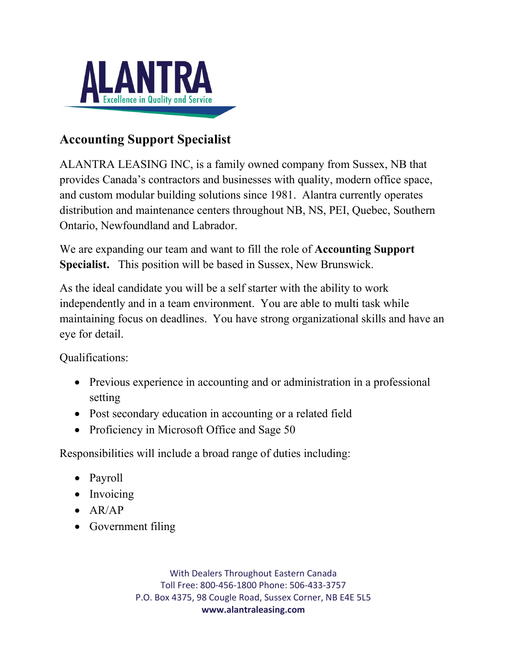

## **Accounting Support Specialist**

ALANTRA LEASING INC, is a family owned company from Sussex, NB that provides Canada's contractors and businesses with quality, modern office space, and custom modular building solutions since 1981. Alantra currently operates distribution and maintenance centers throughout NB, NS, PEI, Quebec, Southern Ontario, Newfoundland and Labrador.

We are expanding our team and want to fill the role of **Accounting Support Specialist.** This position will be based in Sussex, New Brunswick.

As the ideal candidate you will be a self starter with the ability to work independently and in a team environment. You are able to multi task while maintaining focus on deadlines. You have strong organizational skills and have an eye for detail.

Qualifications:

- Previous experience in accounting and or administration in a professional setting
- Post secondary education in accounting or a related field
- Proficiency in Microsoft Office and Sage 50

Responsibilities will include a broad range of duties including:

- Payroll
- Invoicing
- AR/AP
- Government filing

With Dealers Throughout Eastern Canada Toll Free: 800-456-1800 Phone: 506-433-3757 P.O. Box 4375, 98 Cougle Road, Sussex Corner, NB E4E 5L5 **www.alantraleasing.com**